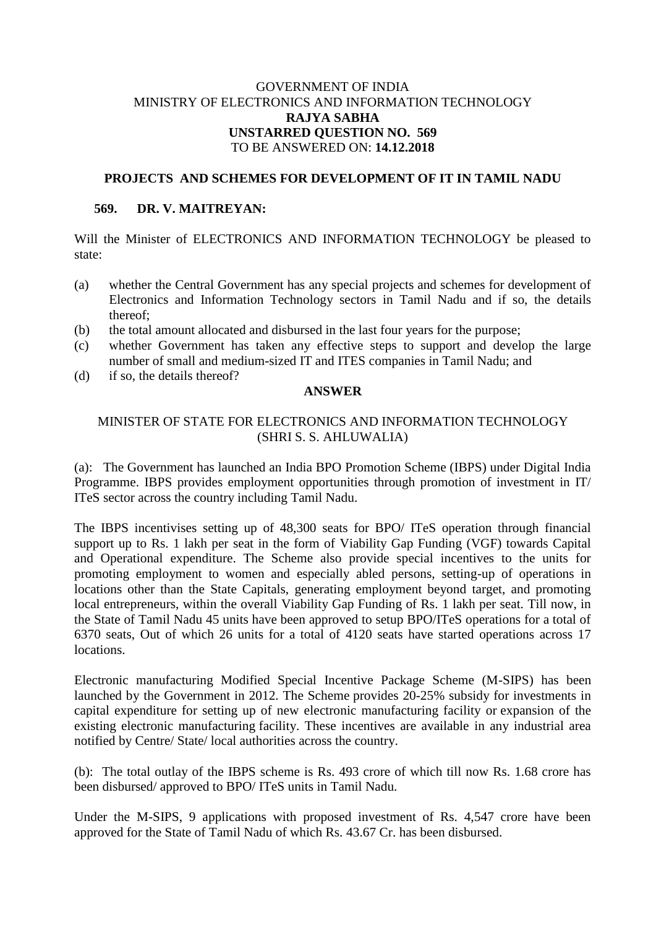## GOVERNMENT OF INDIA MINISTRY OF ELECTRONICS AND INFORMATION TECHNOLOGY **RAJYA SABHA UNSTARRED QUESTION NO. 569** TO BE ANSWERED ON: **14.12.2018**

### **PROJECTS AND SCHEMES FOR DEVELOPMENT OF IT IN TAMIL NADU**

#### **569. DR. V. MAITREYAN:**

Will the Minister of ELECTRONICS AND INFORMATION TECHNOLOGY be pleased to state:

- (a) whether the Central Government has any special projects and schemes for development of Electronics and Information Technology sectors in Tamil Nadu and if so, the details thereof;
- (b) the total amount allocated and disbursed in the last four years for the purpose;
- (c) whether Government has taken any effective steps to support and develop the large number of small and medium-sized IT and ITES companies in Tamil Nadu; and
- (d) if so, the details thereof?

## **ANSWER**

# MINISTER OF STATE FOR ELECTRONICS AND INFORMATION TECHNOLOGY (SHRI S. S. AHLUWALIA)

(a): The Government has launched an India BPO Promotion Scheme (IBPS) under Digital India Programme. IBPS provides employment opportunities through promotion of investment in IT/ ITeS sector across the country including Tamil Nadu.

The IBPS incentivises setting up of 48,300 seats for BPO/ ITeS operation through financial support up to Rs. 1 lakh per seat in the form of Viability Gap Funding (VGF) towards Capital and Operational expenditure. The Scheme also provide special incentives to the units for promoting employment to women and especially abled persons, setting-up of operations in locations other than the State Capitals, generating employment beyond target, and promoting local entrepreneurs, within the overall Viability Gap Funding of Rs. 1 lakh per seat. Till now, in the State of Tamil Nadu 45 units have been approved to setup BPO/ITeS operations for a total of 6370 seats, Out of which 26 units for a total of 4120 seats have started operations across 17 locations.

Electronic manufacturing Modified Special Incentive Package Scheme (M-SIPS) has been launched by the Government in 2012. The Scheme provides 20-25% subsidy for investments in capital expenditure for setting up of new electronic manufacturing facility or expansion of the existing electronic manufacturing facility. These incentives are available in any industrial area notified by Centre/ State/ local authorities across the country.

(b): The total outlay of the IBPS scheme is Rs. 493 crore of which till now Rs. 1.68 crore has been disbursed/ approved to BPO/ ITeS units in Tamil Nadu.

Under the M-SIPS, 9 applications with proposed investment of Rs. 4,547 crore have been approved for the State of Tamil Nadu of which Rs. 43.67 Cr. has been disbursed.